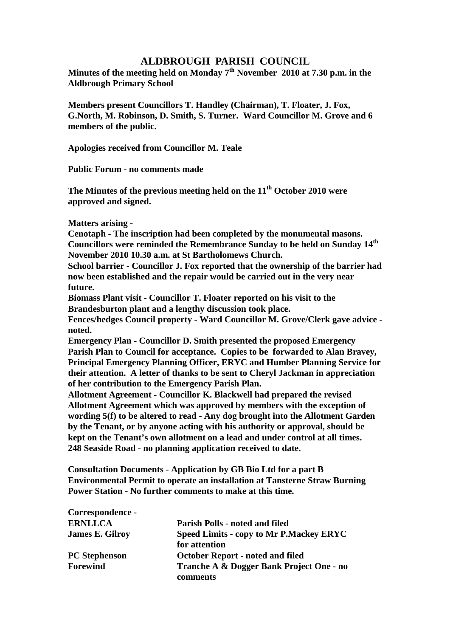## **ALDBROUGH PARISH COUNCIL**

**Minutes of the meeting held on Monday 7th November 2010 at 7.30 p.m. in the Aldbrough Primary School**

**Members present Councillors T. Handley (Chairman), T. Floater, J. Fox, G.North, M. Robinson, D. Smith, S. Turner. Ward Councillor M. Grove and 6 members of the public.**

**Apologies received from Councillor M. Teale**

**Public Forum - no comments made**

**The Minutes of the previous meeting held on the 11th October 2010 were approved and signed.**

**Matters arising -**

**Cenotaph - The inscription had been completed by the monumental masons. Councillors were reminded the Remembrance Sunday to be held on Sunday 14th November 2010 10.30 a.m. at St Bartholomews Church.**

**School barrier - Councillor J. Fox reported that the ownership of the barrier had now been established and the repair would be carried out in the very near future.**

**Biomass Plant visit - Councillor T. Floater reported on his visit to the Brandesburton plant and a lengthy discussion took place.**

**Fences/hedges Council property - Ward Councillor M. Grove/Clerk gave advice noted.**

**Emergency Plan - Councillor D. Smith presented the proposed Emergency Parish Plan to Council for acceptance. Copies to be forwarded to Alan Bravey, Principal Emergency Planning Officer, ERYC and Humber Planning Service for their attention. A letter of thanks to be sent to Cheryl Jackman in appreciation of her contribution to the Emergency Parish Plan.**

**Allotment Agreement - Councillor K. Blackwell had prepared the revised Allotment Agreement which was approved by members with the exception of wording 5(f) to be altered to read - Any dog brought into the Allotment Garden by the Tenant, or by anyone acting with his authority or approval, should be kept on the Tenant's own allotment on a lead and under control at all times. 248 Seaside Road - no planning application received to date.**

**Consultation Documents - Application by GB Bio Ltd for a part B Environmental Permit to operate an installation at Tansterne Straw Burning Power Station - No further comments to make at this time.**

| Correspondence -       |                                                |
|------------------------|------------------------------------------------|
| <b>ERNLLCA</b>         | Parish Polls - noted and filed                 |
| <b>James E. Gilroy</b> | <b>Speed Limits - copy to Mr P.Mackey ERYC</b> |
|                        | for attention                                  |
| <b>PC</b> Stephenson   | <b>October Report - noted and filed</b>        |
| <b>Forewind</b>        | Tranche A & Dogger Bank Project One - no       |
|                        | comments                                       |